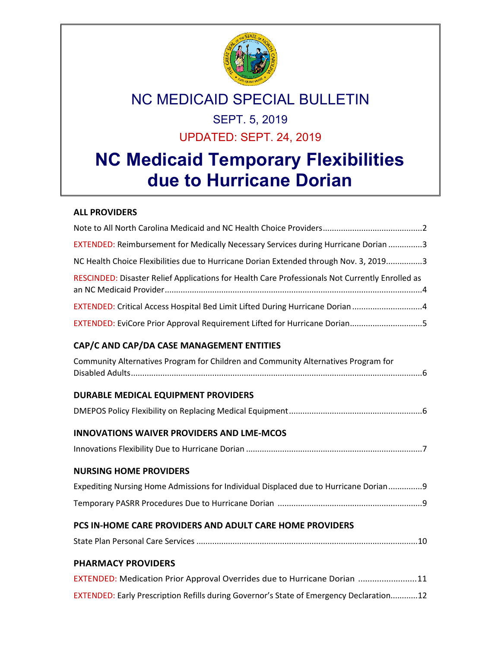

## NC MEDICAID SPECIAL BULLETIN

## SEPT. 5, 2019 UPDATED: SEPT. 24, 2019

# **NC Medicaid Temporary Flexibilities due to Hurricane Dorian**

#### **ALL PROVIDERS**

| EXTENDED: Reimbursement for Medically Necessary Services during Hurricane Dorian 3              |
|-------------------------------------------------------------------------------------------------|
| NC Health Choice Flexibilities due to Hurricane Dorian Extended through Nov. 3, 20193           |
| RESCINDED: Disaster Relief Applications for Health Care Professionals Not Currently Enrolled as |
| EXTENDED: Critical Access Hospital Bed Limit Lifted During Hurricane Dorian4                    |
| EXTENDED: EviCore Prior Approval Requirement Lifted for Hurricane Dorian5                       |
| CAP/C AND CAP/DA CASE MANAGEMENT ENTITIES                                                       |
| Community Alternatives Program for Children and Community Alternatives Program for              |
| DURABLE MEDICAL EQUIPMENT PROVIDERS                                                             |
|                                                                                                 |
| <b>INNOVATIONS WAIVER PROVIDERS AND LME-MCOS</b>                                                |
|                                                                                                 |
| <b>NURSING HOME PROVIDERS</b>                                                                   |
| Expediting Nursing Home Admissions for Individual Displaced due to Hurricane Dorian9            |
|                                                                                                 |
| PCS IN-HOME CARE PROVIDERS AND ADULT CARE HOME PROVIDERS                                        |
|                                                                                                 |
| <b>PHARMACY PROVIDERS</b>                                                                       |
| EXTENDED: Medication Prior Approval Overrides due to Hurricane Dorian 11                        |
| EXTENDED: Early Prescription Refills during Governor's State of Emergency Declaration12         |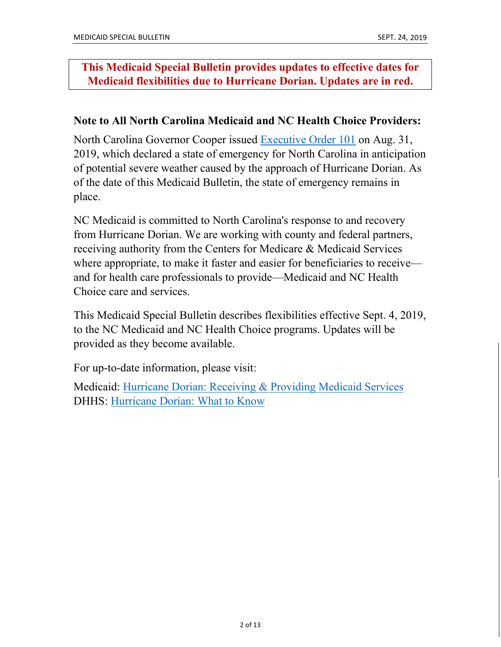### **This Medicaid Special Bulletin provides updates to effective dates for Medicaid flexibilities due to Hurricane Dorian. Updates are in red.**

#### **Note to All North Carolina Medicaid and NC Health Choice Providers:**

North Carolina Governor Cooper issued [Executive Order 101](https://files.nc.gov/governor/documents/files/EO101-Declaration-of-SOE_Hurricane-Dorian.pdf) on Aug. 31, 2019, which declared a state of emergency for North Carolina in anticipation of potential severe weather caused by the approach of Hurricane Dorian. As of the date of this Medicaid Bulletin, the state of emergency remains in place.

NC Medicaid is committed to North Carolina's response to and recovery from Hurricane Dorian. We are working with county and federal partners, receiving authority from the Centers for Medicare & Medicaid Services where appropriate, to make it faster and easier for beneficiaries to receive and for health care professionals to provide—Medicaid and NC Health Choice care and services.

This Medicaid Special Bulletin describes flexibilities effective Sept. 4, 2019, to the NC Medicaid and NC Health Choice programs. Updates will be provided as they become available.

For up-to-date information, please visit:

Medicaid: [Hurricane Dorian: Receiving & Providing Medicaid Services](https://medicaid.ncdhhs.gov/hurricane-dorian-receiving-providing-medicaid-services) DHHS: [Hurricane Dorian: What to Know](https://www.ncdhhs.gov/assistance/disaster-preparation-and-recovery/hurricane-dorian-what-know)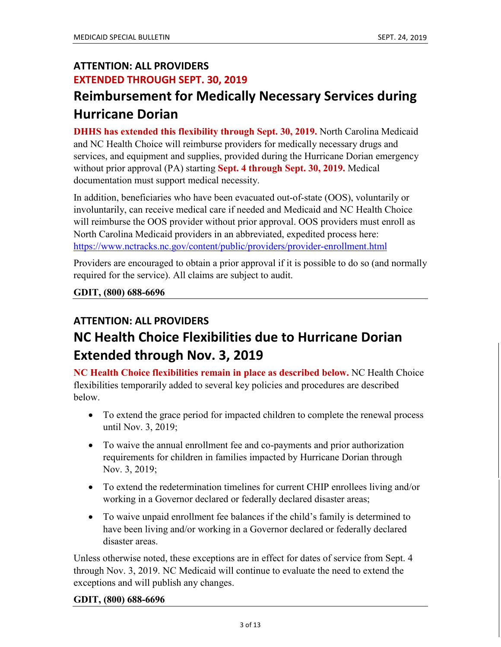## **ATTENTION: ALL PROVIDERS EXTENDED THROUGH SEPT. 30, 2019**

## **Reimbursement for Medically Necessary Services during Hurricane Dorian**

**DHHS has extended this flexibility through Sept. 30, 2019.** North Carolina Medicaid and NC Health Choice will reimburse providers for medically necessary drugs and services, and equipment and supplies, provided during the Hurricane Dorian emergency without prior approval (PA) starting **Sept. 4 through Sept. 30, 2019.** Medical documentation must support medical necessity.

In addition, beneficiaries who have been evacuated out-of-state (OOS), voluntarily or involuntarily, can receive medical care if needed and Medicaid and NC Health Choice will reimburse the OOS provider without prior approval. OOS providers must enroll as North Carolina Medicaid providers in an abbreviated, expedited process here: <https://www.nctracks.nc.gov/content/public/providers/provider-enrollment.html>

Providers are encouraged to obtain a prior approval if it is possible to do so (and normally required for the service). All claims are subject to audit.

#### **GDIT, (800) 688-6696**

## **ATTENTION: ALL PROVIDERS NC Health Choice Flexibilities due to Hurricane Dorian Extended through Nov. 3, 2019**

**NC Health Choice flexibilities remain in place as described below.** NC Health Choice flexibilities temporarily added to several key policies and procedures are described below.

- To extend the grace period for impacted children to complete the renewal process until Nov. 3, 2019;
- To waive the annual enrollment fee and co-payments and prior authorization requirements for children in families impacted by Hurricane Dorian through Nov. 3, 2019;
- To extend the redetermination timelines for current CHIP enrollees living and/or working in a Governor declared or federally declared disaster areas;
- To waive unpaid enrollment fee balances if the child's family is determined to have been living and/or working in a Governor declared or federally declared disaster areas.

Unless otherwise noted, these exceptions are in effect for dates of service from Sept. 4 through Nov. 3, 2019. NC Medicaid will continue to evaluate the need to extend the exceptions and will publish any changes.

#### **GDIT, (800) 688-6696**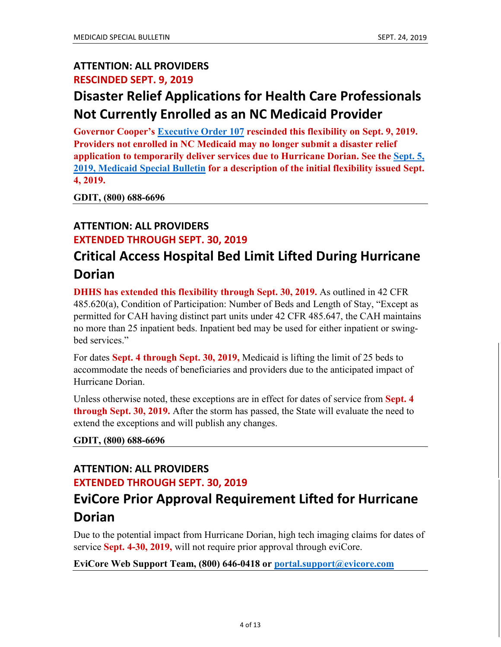### **ATTENTION: ALL PROVIDERS RESCINDED SEPT. 9, 2019**

## **Disaster Relief Applications for Health Care Professionals Not Currently Enrolled as an NC Medicaid Provider**

**Governor Cooper's [Executive Order 107](https://governor.nc.gov/documents/executive-order-no-107-rescinding-temporary-medical-licensure-waiver) rescinded this flexibility on Sept. 9, 2019. Providers not enrolled in NC Medicaid may no longer submit a disaster relief application to temporarily deliver services due to Hurricane Dorian. See the [Sept. 5,](https://files.nc.gov/ncdma/20190905-HurricaneDorian-SpecialBulletin.pdf)  [2019, Medicaid Special Bulletin](https://files.nc.gov/ncdma/20190905-HurricaneDorian-SpecialBulletin.pdf) for a description of the initial flexibility issued Sept. 4, 2019.** 

**GDIT, (800) 688-6696**

### **ATTENTION: ALL PROVIDERS**

#### **EXTENDED THROUGH SEPT. 30, 2019**

## **Critical Access Hospital Bed Limit Lifted During Hurricane Dorian**

**DHHS has extended this flexibility through Sept. 30, 2019.** As outlined in 42 CFR 485.620(a), Condition of Participation: Number of Beds and Length of Stay, "Except as permitted for CAH having distinct part units under 42 CFR 485.647, the CAH maintains no more than 25 inpatient beds. Inpatient bed may be used for either inpatient or swingbed services."

For dates **Sept. 4 through Sept. 30, 2019,** Medicaid is lifting the limit of 25 beds to accommodate the needs of beneficiaries and providers due to the anticipated impact of Hurricane Dorian.

Unless otherwise noted, these exceptions are in effect for dates of service from **Sept. 4 through Sept. 30, 2019.** After the storm has passed, the State will evaluate the need to extend the exceptions and will publish any changes.

**GDIT, (800) 688-6696**

#### **ATTENTION: ALL PROVIDERS EXTENDED THROUGH SEPT. 30, 2019**

## **EviCore Prior Approval Requirement Lifted for Hurricane Dorian**

Due to the potential impact from Hurricane Dorian, high tech imaging claims for dates of service **Sept. 4-30, 2019,** will not require prior approval through eviCore.

**EviCore Web Support Team, (800) 646-0418 or [portal.support@evicore.com](mailto:portal.support@evicore.com)**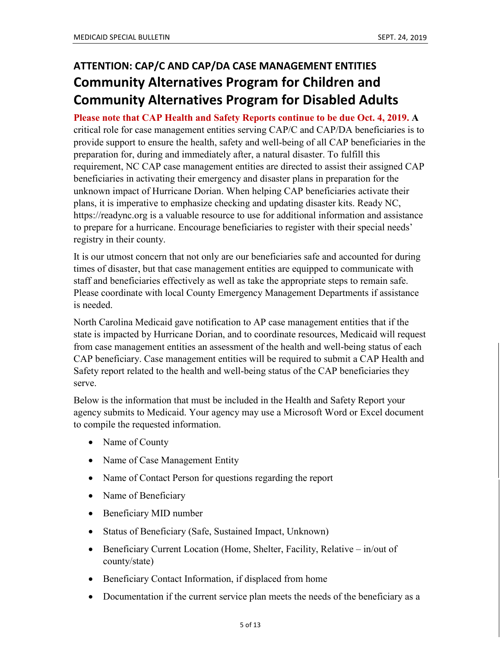## **ATTENTION: CAP/C AND CAP/DA CASE MANAGEMENT ENTITIES Community Alternatives Program for Children and Community Alternatives Program for Disabled Adults**

**Please note that CAP Health and Safety Reports continue to be due Oct. 4, 2019. A** critical role for case management entities serving CAP/C and CAP/DA beneficiaries is to provide support to ensure the health, safety and well-being of all CAP beneficiaries in the preparation for, during and immediately after, a natural disaster. To fulfill this requirement, NC CAP case management entities are directed to assist their assigned CAP beneficiaries in activating their emergency and disaster plans in preparation for the unknown impact of Hurricane Dorian. When helping CAP beneficiaries activate their plans, it is imperative to emphasize checking and updating disaster kits. Ready NC, https://readync.org is a valuable resource to use for additional information and assistance to prepare for a hurricane. Encourage beneficiaries to register with their special needs' registry in their county.

It is our utmost concern that not only are our beneficiaries safe and accounted for during times of disaster, but that case management entities are equipped to communicate with staff and beneficiaries effectively as well as take the appropriate steps to remain safe. Please coordinate with local County Emergency Management Departments if assistance is needed.

North Carolina Medicaid gave notification to AP case management entities that if the state is impacted by Hurricane Dorian, and to coordinate resources, Medicaid will request from case management entities an assessment of the health and well-being status of each CAP beneficiary. Case management entities will be required to submit a CAP Health and Safety report related to the health and well-being status of the CAP beneficiaries they serve.

Below is the information that must be included in the Health and Safety Report your agency submits to Medicaid. Your agency may use a Microsoft Word or Excel document to compile the requested information.

- Name of County
- Name of Case Management Entity
- Name of Contact Person for questions regarding the report
- Name of Beneficiary
- Beneficiary MID number
- Status of Beneficiary (Safe, Sustained Impact, Unknown)
- Beneficiary Current Location (Home, Shelter, Facility, Relative in/out of county/state)
- Beneficiary Contact Information, if displaced from home
- Documentation if the current service plan meets the needs of the beneficiary as a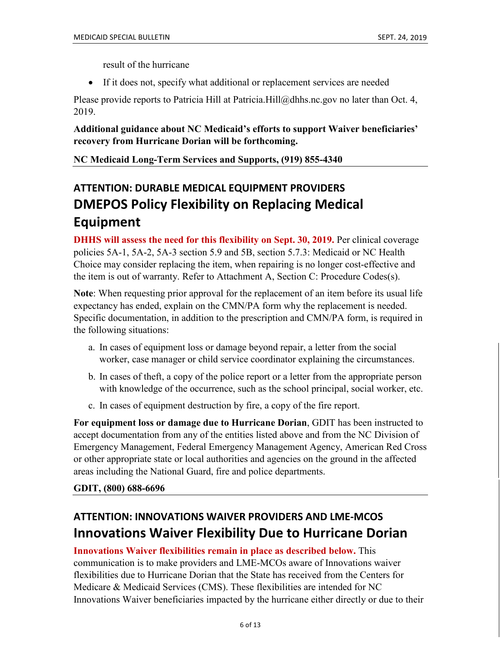result of the hurricane

• If it does not, specify what additional or replacement services are needed

Please provide reports to Patricia Hill at [Patricia.Hill@dhhs.nc.gov](mailto:Patricia.Hill@dhhs.nc.gov) no later than Oct. 4, 2019.

#### **Additional guidance about NC Medicaid's efforts to support Waiver beneficiaries' recovery from Hurricane Dorian will be forthcoming.**

**NC Medicaid Long-Term Services and Supports, (919) 855-4340**

## **ATTENTION: DURABLE MEDICAL EQUIPMENT PROVIDERS DMEPOS Policy Flexibility on Replacing Medical Equipment**

**DHHS will assess the need for this flexibility on Sept. 30, 2019.** Per clinical coverage policies 5A-1, 5A-2, 5A-3 section 5.9 and 5B, section 5.7.3: Medicaid or NC Health Choice may consider replacing the item, when repairing is no longer cost-effective and the item is out of warranty. Refer to Attachment A, Section C: Procedure Codes(s).

**Note**: When requesting prior approval for the replacement of an item before its usual life expectancy has ended, explain on the CMN/PA form why the replacement is needed. Specific documentation, in addition to the prescription and CMN/PA form, is required in the following situations:

- a. In cases of equipment loss or damage beyond repair, a letter from the social worker, case manager or child service coordinator explaining the circumstances.
- b. In cases of theft, a copy of the police report or a letter from the appropriate person with knowledge of the occurrence, such as the school principal, social worker, etc.
- c. In cases of equipment destruction by fire, a copy of the fire report.

**For equipment loss or damage due to Hurricane Dorian**, GDIT has been instructed to accept documentation from any of the entities listed above and from the NC Division of Emergency Management, Federal Emergency Management Agency, American Red Cross or other appropriate state or local authorities and agencies on the ground in the affected areas including the National Guard, fire and police departments.

#### **GDIT, (800) 688-6696**

### **ATTENTION: INNOVATIONS WAIVER PROVIDERS AND LME-MCOS Innovations Waiver Flexibility Due to Hurricane Dorian**

#### **Innovations Waiver flexibilities remain in place as described below.** This

communication is to make providers and LME-MCOs aware of Innovations waiver flexibilities due to Hurricane Dorian that the State has received from the Centers for Medicare & Medicaid Services (CMS). These flexibilities are intended for NC Innovations Waiver beneficiaries impacted by the hurricane either directly or due to their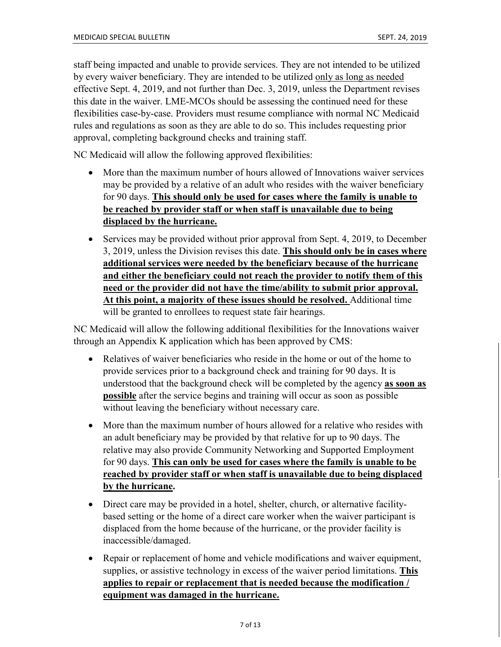staff being impacted and unable to provide services. They are not intended to be utilized by every waiver beneficiary. They are intended to be utilized only as long as needed effective Sept. 4, 2019, and not further than Dec. 3, 2019, unless the Department revises this date in the waiver. LME-MCOs should be assessing the continued need for these flexibilities case-by-case. Providers must resume compliance with normal NC Medicaid rules and regulations as soon as they are able to do so. This includes requesting prior approval, completing background checks and training staff.

NC Medicaid will allow the following approved flexibilities:

- More than the maximum number of hours allowed of Innovations waiver services may be provided by a relative of an adult who resides with the waiver beneficiary for 90 days. **This should only be used for cases where the family is unable to be reached by provider staff or when staff is unavailable due to being displaced by the hurricane.**
- Services may be provided without prior approval from Sept. 4, 2019, to December 3, 2019, unless the Division revises this date. **This should only be in cases where additional services were needed by the beneficiary because of the hurricane and either the beneficiary could not reach the provider to notify them of this need or the provider did not have the time/ability to submit prior approval. At this point, a majority of these issues should be resolved.** Additional time will be granted to enrollees to request state fair hearings.

NC Medicaid will allow the following additional flexibilities for the Innovations waiver through an Appendix K application which has been approved by CMS:

- Relatives of waiver beneficiaries who reside in the home or out of the home to provide services prior to a background check and training for 90 days. It is understood that the background check will be completed by the agency **as soon as possible** after the service begins and training will occur as soon as possible without leaving the beneficiary without necessary care.
- More than the maximum number of hours allowed for a relative who resides with an adult beneficiary may be provided by that relative for up to 90 days. The relative may also provide Community Networking and Supported Employment for 90 days. **This can only be used for cases where the family is unable to be reached by provider staff or when staff is unavailable due to being displaced by the hurricane.**
- Direct care may be provided in a hotel, shelter, church, or alternative facilitybased setting or the home of a direct care worker when the waiver participant is displaced from the home because of the hurricane, or the provider facility is inaccessible/damaged.
- Repair or replacement of home and vehicle modifications and waiver equipment, supplies, or assistive technology in excess of the waiver period limitations. **This applies to repair or replacement that is needed because the modification / equipment was damaged in the hurricane.**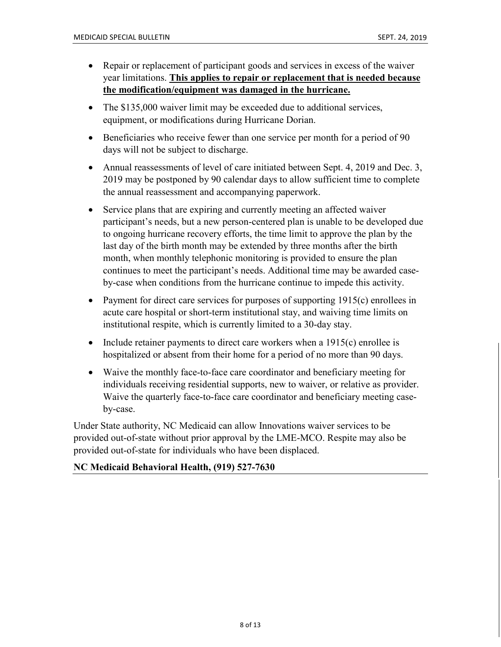- Repair or replacement of participant goods and services in excess of the waiver year limitations. **This applies to repair or replacement that is needed because the modification/equipment was damaged in the hurricane.**
- The \$135,000 waiver limit may be exceeded due to additional services, equipment, or modifications during Hurricane Dorian.
- Beneficiaries who receive fewer than one service per month for a period of 90 days will not be subject to discharge.
- Annual reassessments of level of care initiated between Sept. 4, 2019 and Dec. 3, 2019 may be postponed by 90 calendar days to allow sufficient time to complete the annual reassessment and accompanying paperwork.
- Service plans that are expiring and currently meeting an affected waiver participant's needs, but a new person-centered plan is unable to be developed due to ongoing hurricane recovery efforts, the time limit to approve the plan by the last day of the birth month may be extended by three months after the birth month, when monthly telephonic monitoring is provided to ensure the plan continues to meet the participant's needs. Additional time may be awarded caseby-case when conditions from the hurricane continue to impede this activity.
- Payment for direct care services for purposes of supporting 1915(c) enrollees in acute care hospital or short-term institutional stay, and waiving time limits on institutional respite, which is currently limited to a 30-day stay.
- Include retainer payments to direct care workers when a  $1915(c)$  enrollee is hospitalized or absent from their home for a period of no more than 90 days.
- Waive the monthly face-to-face care coordinator and beneficiary meeting for individuals receiving residential supports, new to waiver, or relative as provider. Waive the quarterly face-to-face care coordinator and beneficiary meeting caseby-case.

Under State authority, NC Medicaid can allow Innovations waiver services to be provided out-of-state without prior approval by the LME-MCO. Respite may also be provided out-of-state for individuals who have been displaced.

#### **NC Medicaid Behavioral Health, (919) 527-7630**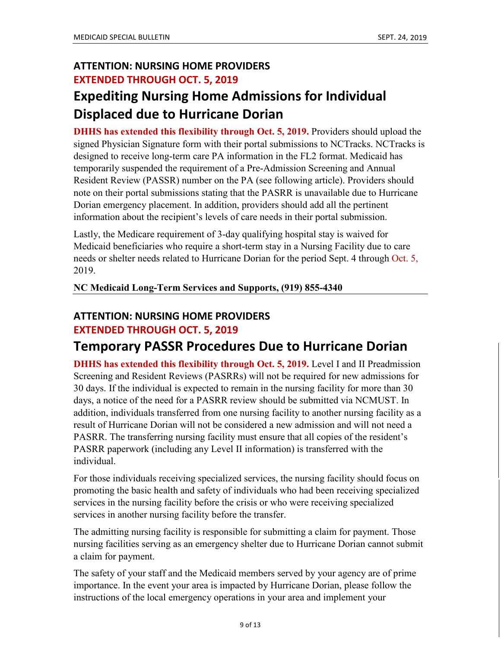### **ATTENTION: NURSING HOME PROVIDERS EXTENDED THROUGH OCT. 5, 2019**

## **Expediting Nursing Home Admissions for Individual Displaced due to Hurricane Dorian**

**DHHS has extended this flexibility through Oct. 5, 2019.** Providers should upload the signed Physician Signature form with their portal submissions to NCTracks. NCTracks is designed to receive long-term care PA information in the FL2 format. Medicaid has temporarily suspended the requirement of a Pre-Admission Screening and Annual Resident Review (PASSR) number on the PA (see following article). Providers should note on their portal submissions stating that the PASRR is unavailable due to Hurricane Dorian emergency placement. In addition, providers should add all the pertinent information about the recipient's levels of care needs in their portal submission.

Lastly, the Medicare requirement of 3-day qualifying hospital stay is waived for Medicaid beneficiaries who require a short-term stay in a Nursing Facility due to care needs or shelter needs related to Hurricane Dorian for the period Sept. 4 through Oct. 5, 2019.

#### **NC Medicaid Long-Term Services and Supports, (919) 855-4340**

#### **ATTENTION: NURSING HOME PROVIDERS EXTENDED THROUGH OCT. 5, 2019**

### **Temporary PASSR Procedures Due to Hurricane Dorian**

**DHHS has extended this flexibility through Oct. 5, 2019.** Level I and II Preadmission Screening and Resident Reviews (PASRRs) will not be required for new admissions for 30 days. If the individual is expected to remain in the nursing facility for more than 30 days, a notice of the need for a PASRR review should be submitted via NCMUST. In addition, individuals transferred from one nursing facility to another nursing facility as a result of Hurricane Dorian will not be considered a new admission and will not need a PASRR. The transferring nursing facility must ensure that all copies of the resident's PASRR paperwork (including any Level II information) is transferred with the individual.

For those individuals receiving specialized services, the nursing facility should focus on promoting the basic health and safety of individuals who had been receiving specialized services in the nursing facility before the crisis or who were receiving specialized services in another nursing facility before the transfer.

The admitting nursing facility is responsible for submitting a claim for payment. Those nursing facilities serving as an emergency shelter due to Hurricane Dorian cannot submit a claim for payment.

The safety of your staff and the Medicaid members served by your agency are of prime importance. In the event your area is impacted by Hurricane Dorian, please follow the instructions of the local emergency operations in your area and implement your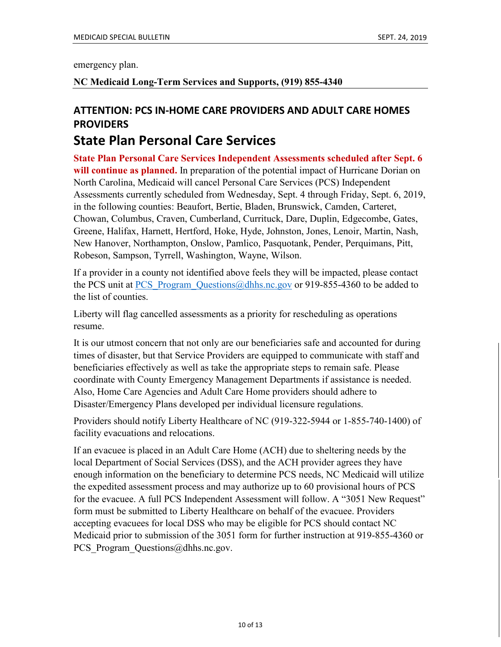emergency plan.

#### **NC Medicaid Long-Term Services and Supports, (919) 855-4340**

### **ATTENTION: PCS IN-HOME CARE PROVIDERS AND ADULT CARE HOMES PROVIDERS**

### **State Plan Personal Care Services**

**State Plan Personal Care Services Independent Assessments scheduled after Sept. 6 will continue as planned.** In preparation of the potential impact of Hurricane Dorian on North Carolina, Medicaid will cancel Personal Care Services (PCS) Independent Assessments currently scheduled from Wednesday, Sept. 4 through Friday, Sept. 6, 2019, in the following counties: Beaufort, Bertie, Bladen, Brunswick, Camden, Carteret, Chowan, Columbus, Craven, Cumberland, Currituck, Dare, Duplin, Edgecombe, Gates, Greene, Halifax, Harnett, Hertford, Hoke, Hyde, Johnston, Jones, Lenoir, Martin, Nash, New Hanover, Northampton, Onslow, Pamlico, Pasquotank, Pender, Perquimans, Pitt, Robeson, Sampson, Tyrrell, Washington, Wayne, Wilson.

If a provider in a county not identified above feels they will be impacted, please contact the PCS unit at PCS Program Questions  $\omega$  dhhs.nc.gov or 919-855-4360 to be added to the list of counties.

Liberty will flag cancelled assessments as a priority for rescheduling as operations resume.

It is our utmost concern that not only are our beneficiaries safe and accounted for during times of disaster, but that Service Providers are equipped to communicate with staff and beneficiaries effectively as well as take the appropriate steps to remain safe. Please coordinate with County Emergency Management Departments if assistance is needed. Also, Home Care Agencies and Adult Care Home providers should adhere to Disaster/Emergency Plans developed per individual licensure regulations.

Providers should notify Liberty Healthcare of NC (919-322-5944 or 1-855-740-1400) of facility evacuations and relocations.

If an evacuee is placed in an Adult Care Home (ACH) due to sheltering needs by the local Department of Social Services (DSS), and the ACH provider agrees they have enough information on the beneficiary to determine PCS needs, NC Medicaid will utilize the expedited assessment process and may authorize up to 60 provisional hours of PCS for the evacuee. A full PCS Independent Assessment will follow. A "3051 New Request" form must be submitted to Liberty Healthcare on behalf of the evacuee. Providers accepting evacuees for local DSS who may be eligible for PCS should contact NC Medicaid prior to submission of the 3051 form for further instruction at 919-855-4360 or [PCS\\_Program\\_Questions@dhhs.nc.gov.](mailto:PCS_Program_Questions@dhhs.nc.gov)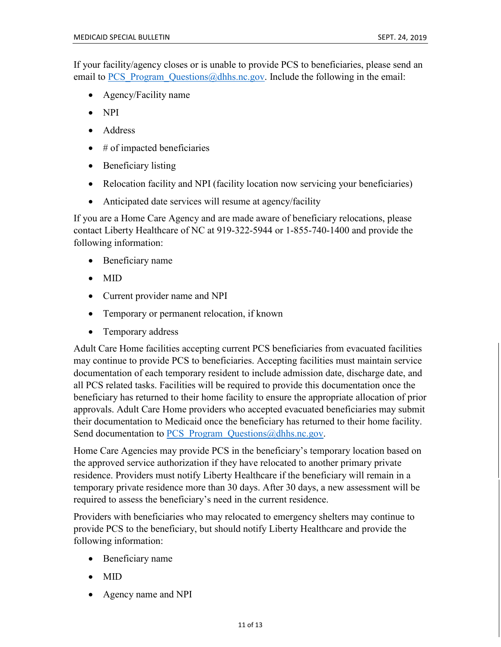If your facility/agency closes or is unable to provide PCS to beneficiaries, please send an email to PCS Program Questions@dhhs.nc.gov. Include the following in the email:

- Agency/Facility name
- NPI
- Address
- $\bullet$  # of impacted beneficiaries
- Beneficiary listing
- Relocation facility and NPI (facility location now servicing your beneficiaries)
- Anticipated date services will resume at agency/facility

If you are a Home Care Agency and are made aware of beneficiary relocations, please contact Liberty Healthcare of NC at 919-322-5944 or 1-855-740-1400 and provide the following information:

- Beneficiary name
- MID
- Current provider name and NPI
- Temporary or permanent relocation, if known
- Temporary address

Adult Care Home facilities accepting current PCS beneficiaries from evacuated facilities may continue to provide PCS to beneficiaries. Accepting facilities must maintain service documentation of each temporary resident to include admission date, discharge date, and all PCS related tasks. Facilities will be required to provide this documentation once the beneficiary has returned to their home facility to ensure the appropriate allocation of prior approvals. Adult Care Home providers who accepted evacuated beneficiaries may submit their documentation to Medicaid once the beneficiary has returned to their home facility. Send documentation to PCS Program Questions@dhhs.nc.gov.

Home Care Agencies may provide PCS in the beneficiary's temporary location based on the approved service authorization if they have relocated to another primary private residence. Providers must notify Liberty Healthcare if the beneficiary will remain in a temporary private residence more than 30 days. After 30 days, a new assessment will be required to assess the beneficiary's need in the current residence.

Providers with beneficiaries who may relocated to emergency shelters may continue to provide PCS to the beneficiary, but should notify Liberty Healthcare and provide the following information:

- Beneficiary name
- MID
- Agency name and NPI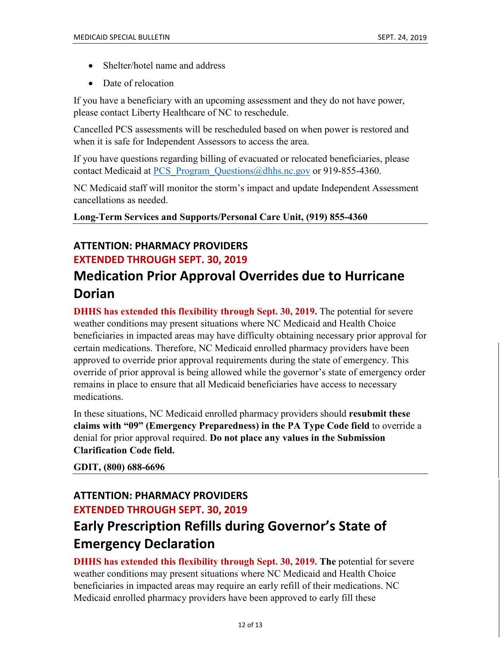- Shelter/hotel name and address
- Date of relocation

If you have a beneficiary with an upcoming assessment and they do not have power, please contact Liberty Healthcare of NC to reschedule.

Cancelled PCS assessments will be rescheduled based on when power is restored and when it is safe for Independent Assessors to access the area.

If you have questions regarding billing of evacuated or relocated beneficiaries, please contact Medicaid at PCS Program Questions@dhhs.nc.gov or 919-855-4360.

NC Medicaid staff will monitor the storm's impact and update Independent Assessment cancellations as needed.

**Long-Term Services and Supports/Personal Care Unit, (919) 855-4360** 

### **ATTENTION: PHARMACY PROVIDERS EXTENDED THROUGH SEPT. 30, 2019**

## **Medication Prior Approval Overrides due to Hurricane Dorian**

**DHHS has extended this flexibility through Sept. 30, 2019.** The potential for severe weather conditions may present situations where NC Medicaid and Health Choice beneficiaries in impacted areas may have difficulty obtaining necessary prior approval for certain medications. Therefore, NC Medicaid enrolled pharmacy providers have been approved to override prior approval requirements during the state of emergency. This override of prior approval is being allowed while the governor's state of emergency order remains in place to ensure that all Medicaid beneficiaries have access to necessary medications.

In these situations, NC Medicaid enrolled pharmacy providers should **resubmit these claims with "09" (Emergency Preparedness) in the PA Type Code field** to override a denial for prior approval required. **Do not place any values in the Submission Clarification Code field.**

**GDIT, (800) 688-6696**

### **ATTENTION: PHARMACY PROVIDERS EXTENDED THROUGH SEPT. 30, 2019**

## **Early Prescription Refills during Governor's State of Emergency Declaration**

**DHHS has extended this flexibility through Sept. 30, 2019. The** potential for severe weather conditions may present situations where NC Medicaid and Health Choice beneficiaries in impacted areas may require an early refill of their medications. NC Medicaid enrolled pharmacy providers have been approved to early fill these